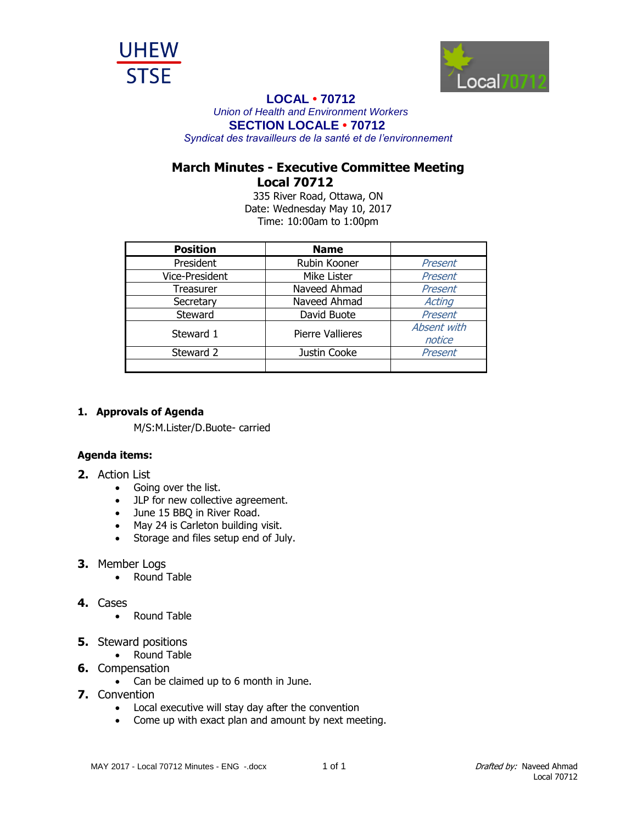



## **LOCAL • 70712**

*Union of Health and Environment Workers* **SECTION LOCALE • 70712**

*Syndicat des travailleurs de la santé et de l'environnement*

# **March Minutes - Executive Committee Meeting Local 70712**

335 River Road, Ottawa, ON Date: Wednesday May 10, 2017 Time: 10:00am to 1:00pm

| <b>Position</b> | <b>Name</b>             |                       |
|-----------------|-------------------------|-----------------------|
| President       | Rubin Kooner            | Present               |
| Vice-President  | Mike Lister             | Present               |
| Treasurer       | Naveed Ahmad            | Present               |
| Secretary       | Naveed Ahmad            | <b>Acting</b>         |
| Steward         | David Buote             | Present               |
| Steward 1       | <b>Pierre Vallieres</b> | Absent with<br>notice |
| Steward 2       | Justin Cooke            | Present               |
|                 |                         |                       |

#### **1. Approvals of Agenda**

M/S:M.Lister/D.Buote- carried

### **Agenda items:**

- **2.** Action List
	- Going over the list.
	- JLP for new collective agreement.
	- June 15 BBQ in River Road.
	- May 24 is Carleton building visit.
	- Storage and files setup end of July.

### **3.** Member Logs

• Round Table

### **4.** Cases

- Round Table
- **5.** Steward positions
	- Round Table
- **6.** Compensation
	- Can be claimed up to 6 month in June.
- **7.** Convention
	- Local executive will stay day after the convention
	- Come up with exact plan and amount by next meeting.